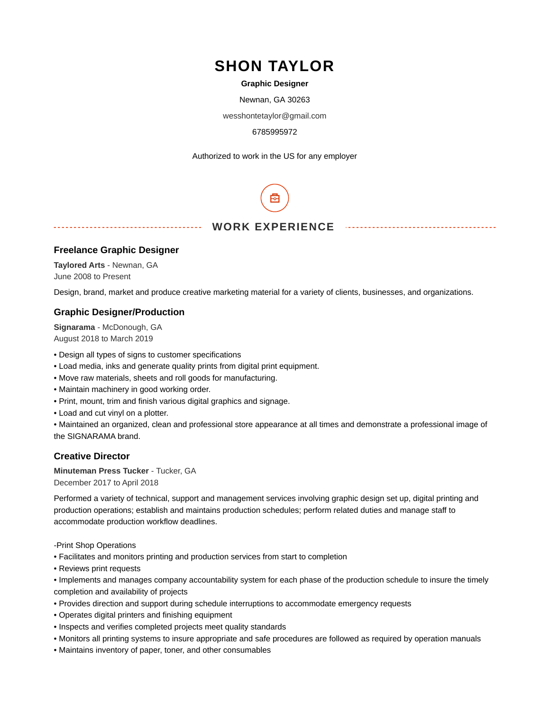# **SHON TAYLOR**

#### **Graphic Designer**

Newnan, GA 30263

wesshontetaylor@gmail.com

#### 6785995972

Authorized to work in the US for any employer

#### **WORK EXPERIENCE**

#### **Freelance Graphic Designer**

**Taylored Arts** - Newnan, GA June 2008 to Present

Design, brand, market and produce creative marketing material for a variety of clients, businesses, and organizations.

#### **Graphic Designer/Production**

**Signarama** - McDonough, GA August 2018 to March 2019

- Design all types of signs to customer specifications
- Load media, inks and generate quality prints from digital print equipment.
- Move raw materials, sheets and roll goods for manufacturing.
- Maintain machinery in good working order.
- Print, mount, trim and finish various digital graphics and signage.
- Load and cut vinyl on a plotter.

• Maintained an organized, clean and professional store appearance at all times and demonstrate a professional image of the SIGNARAMA brand.

#### **Creative Director**

**Minuteman Press Tucker** - Tucker, GA December 2017 to April 2018

Performed a variety of technical, support and management services involving graphic design set up, digital printing and production operations; establish and maintains production schedules; perform related duties and manage staff to accommodate production workflow deadlines.

-Print Shop Operations

- Facilitates and monitors printing and production services from start to completion
- Reviews print requests
- Implements and manages company accountability system for each phase of the production schedule to insure the timely completion and availability of projects
- Provides direction and support during schedule interruptions to accommodate emergency requests
- Operates digital printers and finishing equipment
- Inspects and verifies completed projects meet quality standards
- Monitors all printing systems to insure appropriate and safe procedures are followed as required by operation manuals
- Maintains inventory of paper, toner, and other consumables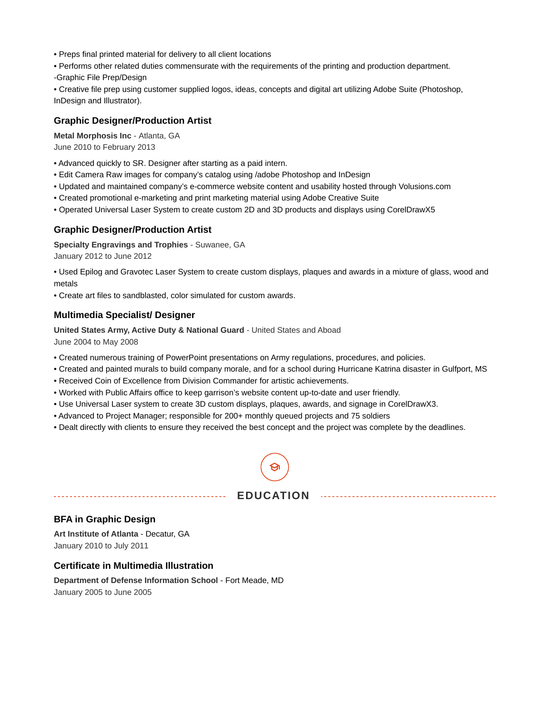- Preps final printed material for delivery to all client locations
- Performs other related duties commensurate with the requirements of the printing and production department.
- -Graphic File Prep/Design
- Creative file prep using customer supplied logos, ideas, concepts and digital art utilizing Adobe Suite (Photoshop, InDesign and Illustrator).

#### **Graphic Designer/Production Artist**

**Metal Morphosis Inc** - Atlanta, GA June 2010 to February 2013

- Advanced quickly to SR. Designer after starting as a paid intern.
- Edit Camera Raw images for company's catalog using /adobe Photoshop and InDesign
- Updated and maintained company's e-commerce website content and usability hosted through Volusions.com
- Created promotional e-marketing and print marketing material using Adobe Creative Suite
- Operated Universal Laser System to create custom 2D and 3D products and displays using CorelDrawX5

#### **Graphic Designer/Production Artist**

**Specialty Engravings and Trophies** - Suwanee, GA

January 2012 to June 2012

• Used Epilog and Gravotec Laser System to create custom displays, plaques and awards in a mixture of glass, wood and metals

• Create art files to sandblasted, color simulated for custom awards.

#### **Multimedia Specialist/ Designer**

**United States Army, Active Duty & National Guard** - United States and Aboad

June 2004 to May 2008

- Created numerous training of PowerPoint presentations on Army regulations, procedures, and policies.
- Created and painted murals to build company morale, and for a school during Hurricane Katrina disaster in Gulfport, MS
- Received Coin of Excellence from Division Commander for artistic achievements.
- Worked with Public Affairs office to keep garrison's website content up-to-date and user friendly.
- Use Universal Laser system to create 3D custom displays, plaques, awards, and signage in CorelDrawX3.
- Advanced to Project Manager; responsible for 200+ monthly queued projects and 75 soldiers
- Dealt directly with clients to ensure they received the best concept and the project was complete by the deadlines.



### **EDUCATION**

#### **BFA in Graphic Design**

**Art Institute of Atlanta** - Decatur, GA January 2010 to July 2011

#### **Certificate in Multimedia Illustration**

**Department of Defense Information School** - Fort Meade, MD January 2005 to June 2005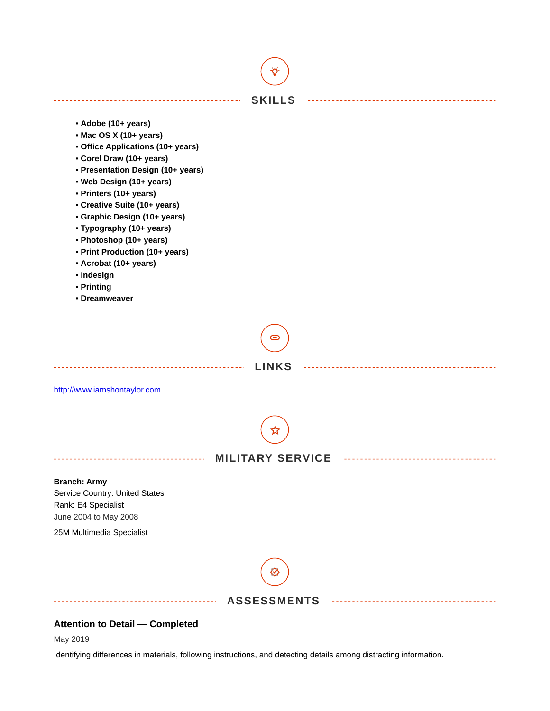

May 2019

Identifying differences in materials, following instructions, and detecting details among distracting information.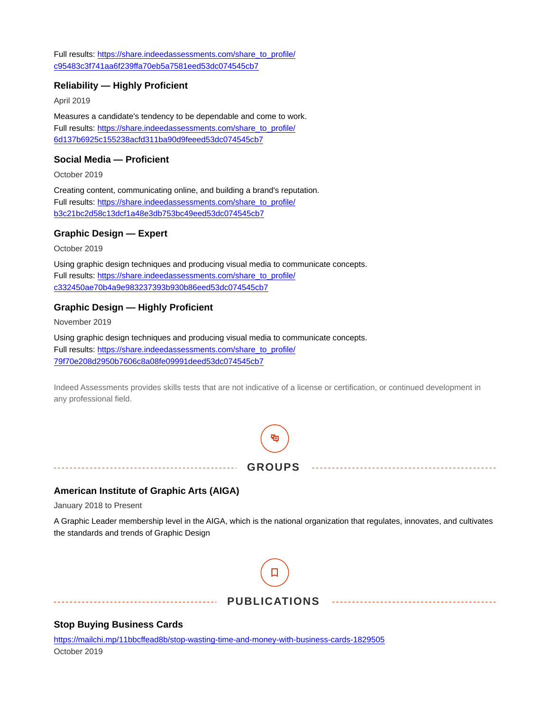Full results: [https://share.indeedassessments.com/share\\_to\\_profile/](https://share.indeedassessments.com/share_to_profile/c95483c3f741aa6f239ffa70eb5a7581eed53dc074545cb7) [c95483c3f741aa6f239ffa70eb5a7581eed53dc074545cb7](https://share.indeedassessments.com/share_to_profile/c95483c3f741aa6f239ffa70eb5a7581eed53dc074545cb7)

#### **Reliability — Highly Proficient**

April 2019

Measures a candidate's tendency to be dependable and come to work. Full results: [https://share.indeedassessments.com/share\\_to\\_profile/](https://share.indeedassessments.com/share_to_profile/6d137b6925c155238acfd311ba90d9feeed53dc074545cb7) [6d137b6925c155238acfd311ba90d9feeed53dc074545cb7](https://share.indeedassessments.com/share_to_profile/6d137b6925c155238acfd311ba90d9feeed53dc074545cb7)

#### **Social Media — Proficient**

October 2019

Creating content, communicating online, and building a brand's reputation. Full results: [https://share.indeedassessments.com/share\\_to\\_profile/](https://share.indeedassessments.com/share_to_profile/b3c21bc2d58c13dcf1a48e3db753bc49eed53dc074545cb7) [b3c21bc2d58c13dcf1a48e3db753bc49eed53dc074545cb7](https://share.indeedassessments.com/share_to_profile/b3c21bc2d58c13dcf1a48e3db753bc49eed53dc074545cb7)

#### **Graphic Design — Expert**

October 2019

Using graphic design techniques and producing visual media to communicate concepts. Full results: [https://share.indeedassessments.com/share\\_to\\_profile/](https://share.indeedassessments.com/share_to_profile/c332450ae70b4a9e983237393b930b86eed53dc074545cb7) [c332450ae70b4a9e983237393b930b86eed53dc074545cb7](https://share.indeedassessments.com/share_to_profile/c332450ae70b4a9e983237393b930b86eed53dc074545cb7)

#### **Graphic Design — Highly Proficient**

November 2019

Using graphic design techniques and producing visual media to communicate concepts. Full results: [https://share.indeedassessments.com/share\\_to\\_profile/](https://share.indeedassessments.com/share_to_profile/79f70e208d2950b7606c8a08fe09991deed53dc074545cb7) [79f70e208d2950b7606c8a08fe09991deed53dc074545cb7](https://share.indeedassessments.com/share_to_profile/79f70e208d2950b7606c8a08fe09991deed53dc074545cb7)

Indeed Assessments provides skills tests that are not indicative of a license or certification, or continued development in any professional field.



#### **American Institute of Graphic Arts (AIGA)**

January 2018 to Present

A Graphic Leader membership level in the AIGA, which is the national organization that regulates, innovates, and cultivates the standards and trends of Graphic Design



#### **PUBLICATIONS**

#### **Stop Buying Business Cards**

<https://mailchi.mp/11bbcffead8b/stop-wasting-time-and-money-with-business-cards-1829505> October 2019